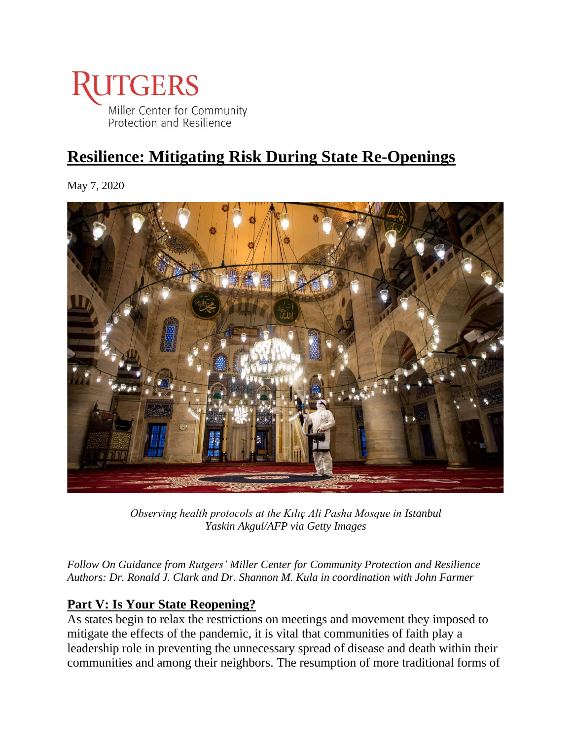

# **Resilience: Mitigating Risk During State Re-Openings**

May 7, 2020



*Observing health protocols at the Kılıç Ali Pasha Mosque in Istanbul Yaskin Akgul/AFP via Getty Images*

*Follow On Guidance from Rutgers' Miller Center for Community Protection and Resilience Authors: Dr. Ronald J. Clark and Dr. Shannon M. Kula in coordination with John Farmer*

## **Part V: Is Your State Reopening?**

As states begin to relax the restrictions on meetings and movement they imposed to mitigate the effects of the pandemic, it is vital that communities of faith play a leadership role in preventing the unnecessary spread of disease and death within their communities and among their neighbors. The resumption of more traditional forms of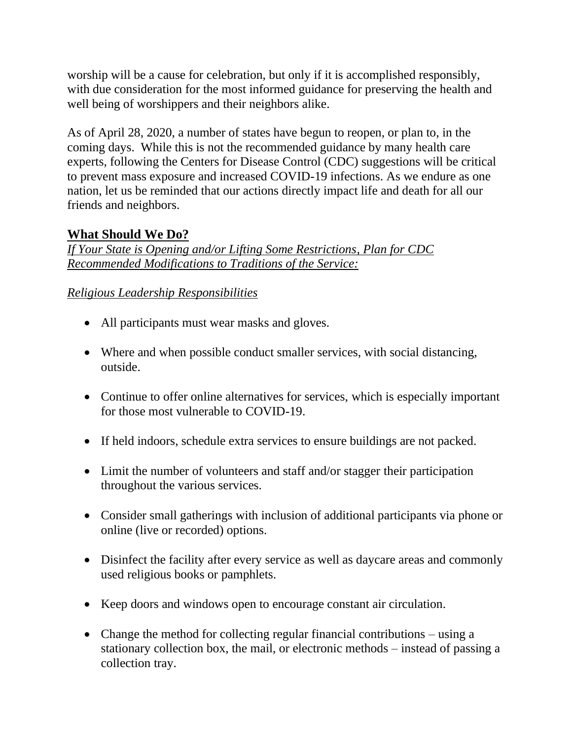worship will be a cause for celebration, but only if it is accomplished responsibly, with due consideration for the most informed guidance for preserving the health and well being of worshippers and their neighbors alike.

As of April 28, 2020, a number of states have begun to reopen, or plan to, in the coming days. While this is not the recommended guidance by many health care experts, following the Centers for Disease Control (CDC) suggestions will be critical to prevent mass exposure and increased COVID-19 infections. As we endure as one nation, let us be reminded that our actions directly impact life and death for all our friends and neighbors.

## **What Should We Do?**

*If Your State is Opening and/or Lifting Some Restrictions, Plan for CDC Recommended Modifications to Traditions of the Service:*

## *Religious Leadership Responsibilities*

- All participants must wear masks and gloves.
- Where and when possible conduct smaller services, with social distancing, outside.
- Continue to offer online alternatives for services, which is especially important for those most vulnerable to COVID-19.
- If held indoors, schedule extra services to ensure buildings are not packed.
- Limit the number of volunteers and staff and/or stagger their participation throughout the various services.
- Consider small gatherings with inclusion of additional participants via phone or online (live or recorded) options.
- Disinfect the facility after every service as well as daycare areas and commonly used religious books or pamphlets.
- Keep doors and windows open to encourage constant air circulation.
- Change the method for collecting regular financial contributions using a stationary collection box, the mail, or electronic methods – instead of passing a collection tray.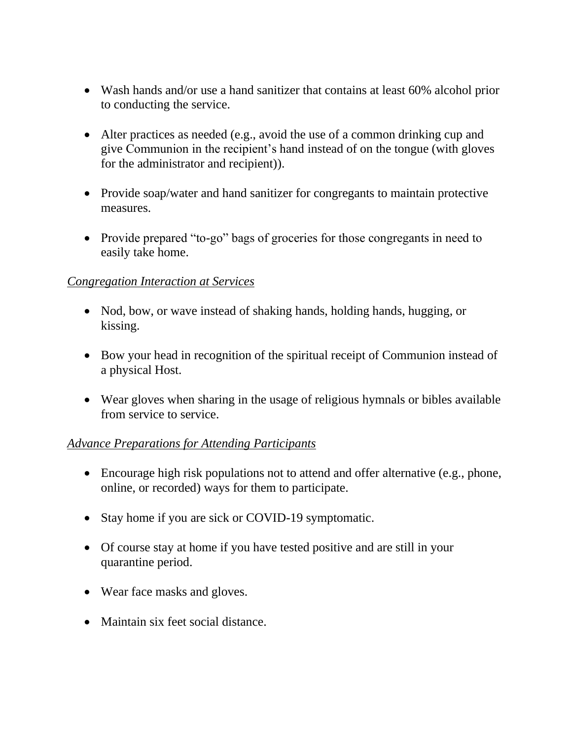- Wash hands and/or use a hand sanitizer that contains at least 60% alcohol prior to conducting the service.
- Alter practices as needed (e.g., avoid the use of a common drinking cup and give Communion in the recipient's hand instead of on the tongue (with gloves for the administrator and recipient)).
- Provide soap/water and hand sanitizer for congregants to maintain protective measures.
- Provide prepared "to-go" bags of groceries for those congregants in need to easily take home.

#### *Congregation Interaction at Services*

- Nod, bow, or wave instead of shaking hands, holding hands, hugging, or kissing.
- Bow your head in recognition of the spiritual receipt of Communion instead of a physical Host.
- Wear gloves when sharing in the usage of religious hymnals or bibles available from service to service.

### *Advance Preparations for Attending Participants*

- Encourage high risk populations not to attend and offer alternative (e.g., phone, online, or recorded) ways for them to participate.
- Stay home if you are sick or COVID-19 symptomatic.
- Of course stay at home if you have tested positive and are still in your quarantine period.
- Wear face masks and gloves.
- Maintain six feet social distance.